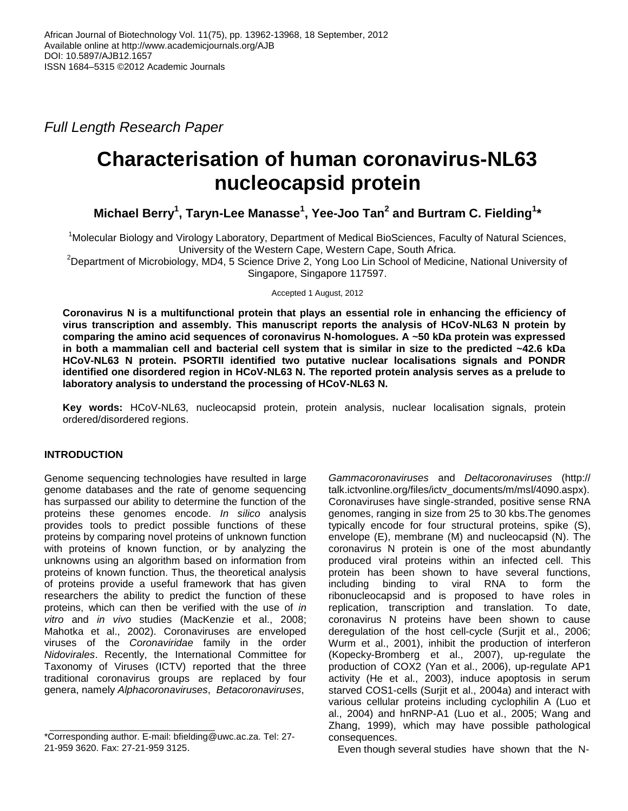*Full Length Research Paper*

# **Characterisation of human coronavirus-NL63 nucleocapsid protein**

**Michael Berry<sup>1</sup> , Taryn-Lee Manasse<sup>1</sup> , Yee-Joo Tan<sup>2</sup> and Burtram C. Fielding<sup>1</sup> \***

<sup>1</sup>Molecular Biology and Virology Laboratory, Department of Medical BioSciences, Faculty of Natural Sciences, University of the Western Cape, Western Cape, South Africa.

<sup>2</sup>Department of Microbiology, MD4, 5 Science Drive 2, Yong Loo Lin School of Medicine, National University of Singapore, Singapore 117597.

Accepted 1 August, 2012

**Coronavirus N is a multifunctional protein that plays an essential role in enhancing the efficiency of virus transcription and assembly. This manuscript reports the analysis of HCoV-NL63 N protein by comparing the amino acid sequences of coronavirus N-homologues. A ~50 kDa protein was expressed in both a mammalian cell and bacterial cell system that is similar in size to the predicted ~42.6 kDa HCoV-NL63 N protein. PSORTII identified two putative nuclear localisations signals and PONDR identified one disordered region in HCoV-NL63 N. The reported protein analysis serves as a prelude to laboratory analysis to understand the processing of HCoV-NL63 N.**

**Key words:** HCoV-NL63, nucleocapsid protein, protein analysis, nuclear localisation signals, protein ordered/disordered regions.

# **INTRODUCTION**

Genome sequencing technologies have resulted in large genome databases and the rate of genome sequencing has surpassed our ability to determine the function of the proteins these genomes encode. *In silico* analysis provides tools to predict possible functions of these proteins by comparing novel proteins of unknown function with proteins of known function, or by analyzing the unknowns using an algorithm based on information from proteins of known function. Thus, the theoretical analysis of proteins provide a useful framework that has given researchers the ability to predict the function of these proteins, which can then be verified with the use of *in vitro* and *in vivo* studies [\(MacKenzie et al., 2008;](l%20) [Mahotka et al., 2002\)](l%20). Coronaviruses are enveloped viruses of the *Coronaviridae* family in the order *Nidovirales*. Recently, the International Committee for Taxonomy of Viruses (ICTV) reported that the three traditional coronavirus groups are replaced by four genera, namely *Alphacoronaviruses*, *Betacoronaviruses*,

*Gammacoronaviruses* and *Deltacoronaviruses* (http:// talk.ictvonline.org/files/ictv\_documents/m/msl/4090.aspx). Coronaviruses have single-stranded, positive sense RNA genomes, ranging in size from 25 to 30 kbs.The genomes typically encode for four structural proteins, spike (S), envelope (E), membrane (M) and nucleocapsid (N). The coronavirus N protein is one of the most abundantly produced viral proteins within an infected cell. This protein has been shown to have several functions, including binding to viral RNA to form the ribonucleocapsid and is proposed to have roles in replication, transcription and translation. To date, coronavirus N proteins have been shown to cause deregulation of the host cell-cycle (Surjit et al., 2006; Wurm et al., 2001), inhibit the production of interferon (Kopecky-Bromberg et al., 2007), up-regulate the production of COX2 (Yan et al., 2006), up-regulate AP1 activity (He et al., 2003), induce apoptosis in serum starved COS1-cells (Surjit et al., 2004a) and interact with various cellular proteins including cyclophilin A (Luo et al., 2004) and hnRNP-A1 (Luo et al., 2005; Wang and Zhang, 1999), which may have possible pathological consequences.

Even though several studies have shown that the N-

<sup>\*</sup>Corresponding author. E-mail: bfielding@uwc.ac.za. Tel: 27- 21-959 3620. Fax: 27-21-959 3125.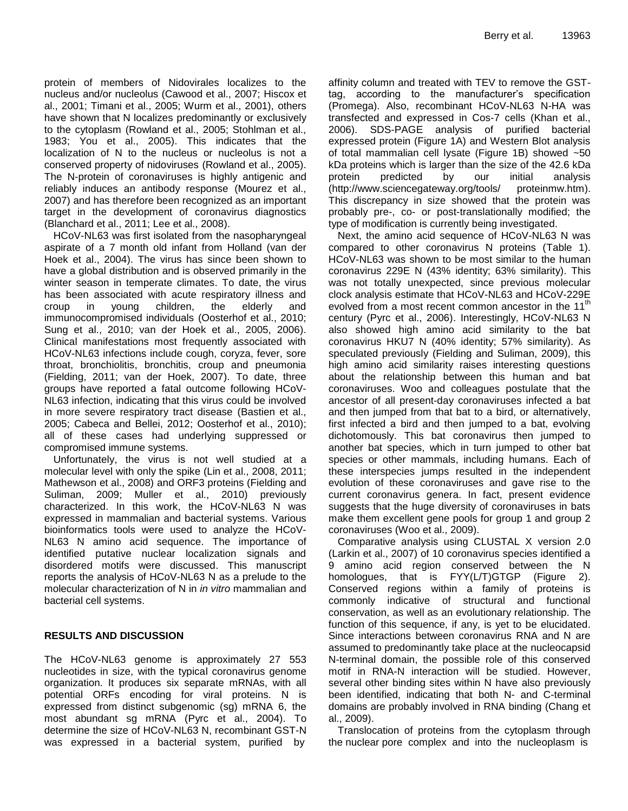protein of members of Nidovirales localizes to the nucleus and/or nucleolus (Cawood et al., 2007; Hiscox et al., 2001; Timani et al., 2005; Wurm et al., 2001), others have shown that N localizes predominantly or exclusively to the cytoplasm (Rowland et al., 2005; Stohlman et al., 1983; You et al., 2005). This indicates that the localization of N to the nucleus or nucleolus is not a conserved property of nidoviruses (Rowland et al., 2005). The N-protein of coronaviruses is highly antigenic and reliably induces an antibody response (Mourez et al., 2007) and has therefore been recognized as an important target in the development of coronavirus diagnostics (Blanchard et al., 2011; Lee et al., 2008).

HCoV-NL63 was first isolated from the nasopharyngeal aspirate of a 7 month old infant from Holland (van der Hoek et al., 2004). The virus has since been shown to have a global distribution and is observed primarily in the winter season in temperate climates. To date, the virus has been associated with acute respiratory illness and croup in young children, the elderly and immunocompromised individuals (Oosterhof et al., 2010; Sung et al., 2010; van der Hoek et al., 2005, 2006). Clinical manifestations most frequently associated with HCoV-NL63 infections include cough, coryza, fever, sore throat, bronchiolitis, bronchitis, croup and pneumonia (Fielding, 2011; van der Hoek, 2007). To date, three groups have reported a fatal outcome following HCoV-NL63 infection, indicating that this virus could be involved in more severe respiratory tract disease (Bastien et al., 2005; Cabeca and Bellei, 2012; Oosterhof et al., 2010); all of these cases had underlying suppressed or compromised immune systems.

Unfortunately, the virus is not well studied at a molecular level with only the spike (Lin et al., 2008, 2011; Mathewson et al., 2008) and ORF3 proteins (Fielding and Suliman, 2009; Muller et al., 2010) previously characterized. In this work, the HCoV-NL63 N was expressed in mammalian and bacterial systems. Various bioinformatics tools were used to analyze the HCoV-NL63 N amino acid sequence. The importance of identified putative nuclear localization signals and disordered motifs were discussed. This manuscript reports the analysis of HCoV-NL63 N as a prelude to the molecular characterization of N in *in vitro* mammalian and bacterial cell systems.

# **RESULTS AND DISCUSSION**

The HCoV-NL63 genome is approximately 27 553 nucleotides in size, with the typical coronavirus genome organization. It produces six separate mRNAs, with all potential ORFs encoding for viral proteins. N is expressed from distinct subgenomic (sg) mRNA 6, the most abundant sg mRNA (Pyrc et al., 2004). To determine the size of HCoV-NL63 N, recombinant GST-N was expressed in a bacterial system, purified by

affinity column and treated with TEV to remove the GSTtag, according to the manufacturer's specification (Promega). Also, recombinant HCoV-NL63 N-HA was transfected and expressed in Cos-7 cells (Khan et al., 2006). SDS-PAGE analysis of purified bacterial expressed protein (Figure 1A) and Western Blot analysis of total mammalian cell lysate (Figure 1B) showed ~50 kDa proteins which is larger than the size of the 42.6 kDa protein predicted by our initial analysis (http://www.sciencegateway.org/tools/ proteinmw.htm). This discrepancy in size showed that the protein was probably pre-, co- or post-translationally modified; the type of modification is currently being investigated.

Next, the amino acid sequence of HCoV-NL63 N was compared to other coronavirus N proteins (Table 1). HCoV-NL63 was shown to be most similar to the human coronavirus 229E N (43% identity; 63% similarity). This was not totally unexpected, since previous molecular clock analysis estimate that HCoV-NL63 and HCoV-229E evolved from a most recent common ancestor in the  $11<sup>th</sup>$ century (Pyrc et al., 2006). Interestingly, HCoV-NL63 N also showed high amino acid similarity to the bat coronavirus HKU7 N (40% identity; 57% similarity). As speculated previously (Fielding and Suliman, 2009), this high amino acid similarity raises interesting questions about the relationship between this human and bat coronaviruses. Woo and colleagues postulate that the ancestor of all present-day coronaviruses infected a bat and then jumped from that bat to a bird, or alternatively, first infected a bird and then jumped to a bat, evolving dichotomously. This bat coronavirus then jumped to another bat species, which in turn jumped to other bat species or other mammals, including humans. Each of these interspecies jumps resulted in the independent evolution of these coronaviruses and gave rise to the current coronavirus genera. In fact, present evidence suggests that the huge diversity of coronaviruses in bats make them excellent gene pools for group 1 and group 2 coronaviruses (Woo et al., 2009).

Comparative analysis using CLUSTAL X version 2.0 (Larkin et al., 2007) of 10 coronavirus species identified a 9 amino acid region conserved between the N homologues, that is FYY(L/T)GTGP (Figure 2). Conserved regions within a family of proteins is commonly indicative of structural and functional conservation, as well as an evolutionary relationship. The function of this sequence, if any, is yet to be elucidated. Since interactions between coronavirus RNA and N are assumed to predominantly take place at the nucleocapsid N-terminal domain, the possible role of this conserved motif in RNA-N interaction will be studied. However, several other binding sites within N have also previously been identified, indicating that both N- and C-terminal domains are probably involved in RNA binding (Chang et al., 2009).

Translocation of proteins from the cytoplasm through the nuclear pore complex and into the nucleoplasm is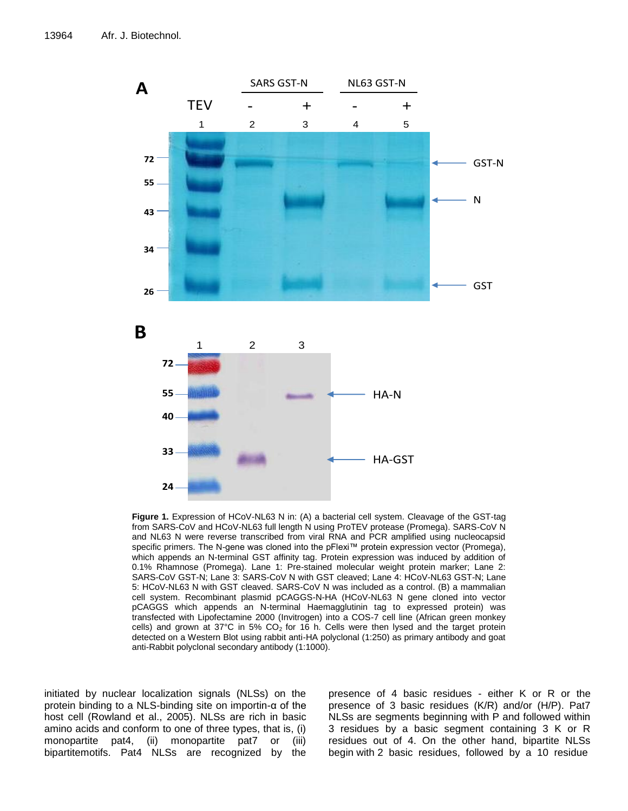

**24 Figure 1.** Expression of HCoV-NL63 N in: (A) a bacterial cell system. Cleavage of the GST-tag from SARS-CoV and HCoV-NL63 full length N using ProTEV protease (Promega). SARS-CoV N and NL63 N were reverse transcribed from viral RNA and PCR amplified using nucleocapsid specific primers. The N-gene was cloned into the pFlexi™ protein expression vector (Promega), which appends an N-terminal GST affinity tag. Protein expression was induced by addition of 0.1% Rhamnose (Promega). Lane 1: Pre-stained molecular weight protein marker; Lane 2: SARS-CoV GST-N; Lane 3: SARS-CoV N with GST cleaved; Lane 4: HCoV-NL63 GST-N; Lane 5: HCoV-NL63 N with GST cleaved. SARS-CoV N was included as a control. (B) a mammalian cell system. Recombinant plasmid pCAGGS-N-HA (HCoV-NL63 N gene cloned into vector pCAGGS which appends an N-terminal Haemagglutinin tag to expressed protein) was transfected with Lipofectamine 2000 (Invitrogen) into a COS-7 cell line (African green monkey cells) and grown at 37°C in 5%  $CO<sub>2</sub>$  for 16 h. Cells were then lysed and the target protein detected on a Western Blot using rabbit anti-HA polyclonal (1:250) as primary antibody and goat anti-Rabbit polyclonal secondary antibody (1:1000).

initiated by nuclear localization signals (NLSs) on the protein binding to a NLS-binding site on importin-α of the host cell (Rowland et al., 2005). NLSs are rich in basic amino acids and conform to one of three types, that is, (i) monopartite pat4, (ii) monopartite pat7 or (iii) bipartitemotifs. Pat4 NLSs are recognized by the

presence of 4 basic residues - either K or R or the presence of 3 basic residues (K/R) and/or (H/P). Pat7 NLSs are segments beginning with P and followed within 3 residues by a basic segment containing 3 K or R residues out of 4. On the other hand, bipartite NLSs begin with 2 basic residues, followed by a 10 residue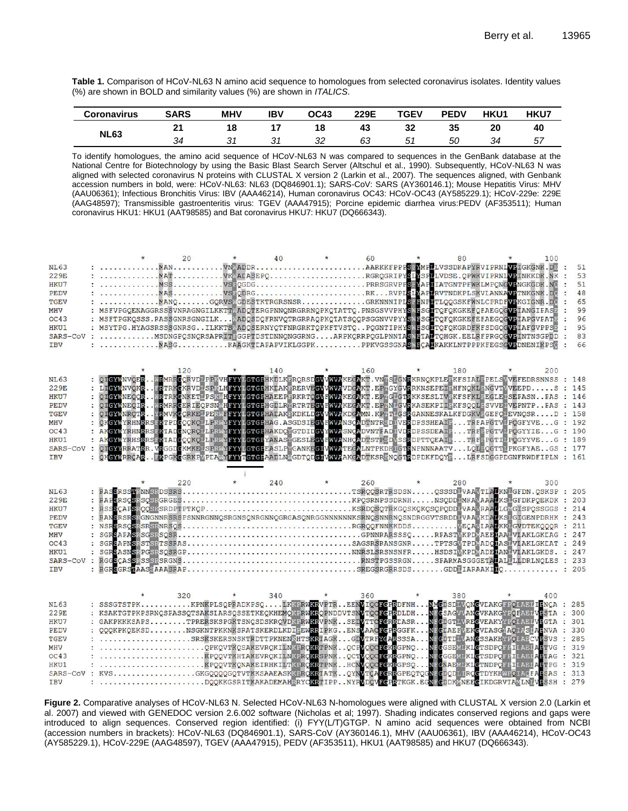**Table 1.** Comparison of HCoV-NL63 N amino acid sequence to homologues from selected coronavirus isolates. Identity values (%) are shown in BOLD and similarity values (%) are shown in *ITALICS*.

| <b>Coronavirus</b> | <b>SARS</b> | <b>MHV</b> | IBV | <b>OC43</b> | 229E | TGEV | <b>PEDV</b> | <b>HKU1</b> | <b>HKU7</b> |
|--------------------|-------------|------------|-----|-------------|------|------|-------------|-------------|-------------|
| <b>NL63</b>        | $\sim$      | 18         |     | 18          | 43   | 32   | 35          | 20          | 40          |
|                    |             | ັ          | ັ   | ∠ت          | 63   | 51   | 50          | 34          | 5,          |

To identify homologues, the amino acid sequence of HCoV-NL63 N was compared to sequences in the GenBank database at the National Centre for Biotechnology by using the Basic Blast Search Server (Altschul et al., 1990). Subsequently, HCoV-NL63 N was aligned with selected coronavirus N proteins with CLUSTAL X version 2 (Larkin et al., 2007). The sequences aligned, with Genbank accession numbers in bold, were: HCoV-NL63: NL63 (DQ846901.1); SARS-CoV: SARS (AY360146.1); Mouse Hepatitis Virus: MHV (AAU06361); Infectious Bronchitis Virus: IBV (AAA46214), Human coronavirus OC43: HCoV-OC43 (AY585229.1); HCoV-229e: 229E (AAG48597); Transmissible gastroenteritis virus: TGEV (AAA47915); Porcine epidemic diarrhea virus:PEDV (AF353511); Human coronavirus HKU1: HKU1 (AAT98585) and Bat coronavirus HKU7: HKU7 (DQ666343).

|             | $\star$ | 20  | $\star$ | 40      |         | 60                                                                                                                                                                                                                                | $\star$ | 80  |         | 100 |       |
|-------------|---------|-----|---------|---------|---------|-----------------------------------------------------------------------------------------------------------------------------------------------------------------------------------------------------------------------------------|---------|-----|---------|-----|-------|
| <b>NL63</b> |         |     |         |         |         |                                                                                                                                                                                                                                   |         |     |         |     | 51    |
| 229E        |         |     |         |         |         |                                                                                                                                                                                                                                   |         |     |         |     | 53    |
| HKU7        |         |     |         |         |         | : MSSVS:QGDGPRRSGRVPFSEMAPIIATGNTPFWKLMPQNGVENGKGDK.NG :                                                                                                                                                                          |         |     |         |     | 51    |
| <b>PEDV</b> |         |     |         |         |         |                                                                                                                                                                                                                                   |         |     |         |     | 48    |
| <b>TGEV</b> |         |     |         |         |         |                                                                                                                                                                                                                                   |         |     |         |     | 65    |
|             |         |     |         |         |         |                                                                                                                                                                                                                                   |         |     |         |     |       |
| MHV         |         |     |         |         |         | : MSFVPGQENAGGRSSSVNRAGNGILKKTTMADQTERGPNNQNRGRRNQPKQIATTQ.PNSGSVVPHYSMBSGLTQFQKGKEFQFAEGQGVFIANGIFASP                                                                                                                            |         |     |         |     | 99    |
| CC43        |         |     |         |         |         | : MSFTPGKQSSS.RASSGNRSGNGILKKADQSDQFRNVQTRGRRAQPKQTATSQQPSGGNVVPYYSYESGITQFQKGKEFEFAEGQGVFIAPGVFATE                                                                                                                               |         |     |         |     | 96    |
| HKU1        |         |     |         |         |         | : MSYTPG.HYAGSRSSSGNRSGILKKTSYADOSERNYQTFNRGRKTOPKFTVSTOPOGNTIPHYSYLSGLTOFOKGRDFKFSDGOGVEIAFGVPPSE                                                                                                                                |         |     |         |     | 95    |
|             |         |     |         |         |         | SARS-COV: MSDNGPQSNQRSAPRITEGGPTDSTDNNQNGGRNGARPKQRRPQGLPNNTASWETALTQHGK.EELRFPRGQGVFINTNSGPDD                                                                                                                                    |         |     |         |     | 83    |
| <b>IBV</b>  |         |     |         |         |         |                                                                                                                                                                                                                                   |         |     |         |     | 66    |
|             |         |     |         |         |         |                                                                                                                                                                                                                                   |         |     |         |     |       |
|             |         |     |         |         |         |                                                                                                                                                                                                                                   |         |     |         |     |       |
|             |         | 120 |         | 140     |         | 160                                                                                                                                                                                                                               |         | 180 |         | 200 |       |
| <b>NL63</b> |         |     |         |         |         | : QI <mark>GYA</mark> NVQE <mark>RMR</mark> MRR <mark>G</mark> QRVDLPPKVHFYYLGTGHHKDLKERQRSD <mark>GVVMVA</mark> KEG <mark>A</mark> KT.VNESLGNRKRNQKPLEEKFSIALEPELSNVEFEDRSNNSS : 148                                             |         |     |         |     |       |
|             |         |     |         |         |         | : LI <mark>GYANVOKSERTRKCKRVDLSPKLHFYYLGTGFHKLAKERCKVEGVVMV2</mark> VDGZKT.EFAGYGVRRKNSEPEIFHFNQKLENGVTVVEEPDS : 145                                                                                                              |         |     |         |     |       |
| 229E        |         |     |         |         |         |                                                                                                                                                                                                                                   |         |     |         |     |       |
| HKU7        |         |     |         |         |         | : QIGYNNEQCRWRTRKGNKETLPSKWHFYYLGTGFHAEEP5RKRTCGVFWVAKEGAKT.EFTGLGTRKKSESLIVFKFSFKLFEGLEISEFASNFAS : 146                                                                                                                          |         |     |         |     |       |
| PEDV        |         |     |         |         |         |                                                                                                                                                                                                                                   |         |     |         |     |       |
| <b>TGEV</b> |         |     |         |         |         |                                                                                                                                                                                                                                   |         |     |         |     |       |
| MHV         |         |     |         |         |         | : QUGYWER QUE : WENKROEBLECHERWERT HET THE GENERAL PROVINCE PRODUCTER IN EXPRESSION TO EXPRESSION FROM THE SUPER PRODUCTS.<br>2. QUGYWER (IR . NEMNROEBLECHERWERTYLGTGEHALAK EKDKLIGVWWAKDGAMI, KPINLGNRKASEKPILE KFSQCLESVVE UPP |         |     |         |     |       |
| CC43        |         |     |         |         |         |                                                                                                                                                                                                                                   |         |     |         |     |       |
| HKU1        |         |     |         |         |         |                                                                                                                                                                                                                                   |         |     |         |     |       |
| SARS-CoV    |         |     |         |         |         | : QIGYYRRATRR.VRGGDGKMKELSPRWYFYYLGTGLEASLFYGANKEGIVMVATEGALNTPKDHIGTRNPNNNAATVLQLFQGTILPKGFYAEGS : 177<br>: QHGYWRRATRR.VRGGDGKMKELSPRWYFYYTGTGFAADLNVGDTQDGIVMVAAKGADTKSRENQGTRDPDKFDQYFLQLFQGTILPKGFYAEGS : 177                |         |     |         |     |       |
| <b>IBV</b>  |         |     |         |         |         |                                                                                                                                                                                                                                   |         |     |         |     |       |
|             |         |     |         |         |         |                                                                                                                                                                                                                                   |         |     |         |     |       |
|             |         |     |         |         |         |                                                                                                                                                                                                                                   |         |     |         |     |       |
|             |         |     |         | $\star$ |         |                                                                                                                                                                                                                                   |         |     |         |     |       |
|             |         | 220 |         | 240     |         | 260                                                                                                                                                                                                                               |         | 280 | $\star$ | 300 |       |
| <b>NL63</b> |         |     |         |         |         |                                                                                                                                                                                                                                   |         |     |         |     |       |
| 229E        |         |     |         |         |         |                                                                                                                                                                                                                                   |         |     |         |     |       |
| HKU7        |         |     |         |         |         |                                                                                                                                                                                                                                   |         |     |         |     |       |
| PEDV        |         |     |         |         |         | : BANSRSRSRGNGNNRSRSPSNNRGNNQSRGNSQNRGNNQGRGASQNRGGNNNNNNKSRNQSNNRNQSNDRGGVTSRDDLVAAVKDALKSLGIGENPDRHK : 243                                                                                                                      |         |     |         |     |       |
| <b>TGEV</b> |         |     |         |         |         |                                                                                                                                                                                                                                   |         |     |         |     |       |
| MHV         |         |     |         |         |         |                                                                                                                                                                                                                                   |         |     |         |     |       |
| CC43        |         |     |         |         |         |                                                                                                                                                                                                                                   |         |     |         |     |       |
| HKU1        |         |     |         |         |         |                                                                                                                                                                                                                                   |         |     |         |     |       |
| SARS-CoV    |         |     |         |         |         |                                                                                                                                                                                                                                   |         |     |         |     |       |
|             |         |     |         |         |         |                                                                                                                                                                                                                                   |         |     |         |     |       |
| <b>IBV</b>  |         |     |         |         |         |                                                                                                                                                                                                                                   |         |     |         |     |       |
|             |         |     |         |         |         |                                                                                                                                                                                                                                   |         |     |         |     |       |
|             |         |     |         |         |         |                                                                                                                                                                                                                                   |         |     |         |     |       |
|             |         | 320 | $\star$ | 340     | $\star$ | 360                                                                                                                                                                                                                               | $\star$ | 380 | $\star$ | 400 |       |
| <b>NL63</b> |         |     |         |         |         | : SSSGTSTPKKPNKPLSQPRADKPSQLKKFRW <mark>KR</mark> VPTREENVIQQFCFRDFNH <mark>NMCDSDDVQNC</mark> VLAKGFFQLABI <mark>IE</mark> NÇA : 285                                                                                             |         |     |         |     |       |
| 229E        |         |     |         |         |         |                                                                                                                                                                                                                                   |         |     |         |     |       |
| HKU7        |         |     |         |         |         | : SSAKTGTPKPSRNQSFASSQTSAKSLARSQSSETKEQKHEMQKPRWKRQPNDDVTSNVTQCFCPRDLDHNFCSAGVVANCVKAKGYPQFAELVPSTA : 300<br>: GAKPKKKSAPSTPRERSKSPGKTSNQSDSKRQVDKPRWKRVPNKSEDVTTCFCRFLASRNFGDGTLVRECVEAKYYPQLAELVPGTA : 301<br>: QQQ             |         |     |         |     |       |
| <b>PEDV</b> |         |     |         |         |         |                                                                                                                                                                                                                                   |         |     |         |     |       |
| <b>TGEV</b> |         |     |         |         |         |                                                                                                                                                                                                                                   |         |     |         |     | : 285 |
|             |         |     |         |         |         |                                                                                                                                                                                                                                   |         |     |         |     | : 319 |
| MHV         |         |     |         |         |         |                                                                                                                                                                                                                                   |         |     |         |     |       |
| CC43        |         |     |         |         |         |                                                                                                                                                                                                                                   |         |     |         |     |       |
| HKU1        |         |     |         |         |         |                                                                                                                                                                                                                                   |         |     |         |     |       |
|             |         |     |         |         |         |                                                                                                                                                                                                                                   |         |     |         |     |       |
|             |         |     |         |         |         | SARS-COV : KVSGKGQQQQGQTVTKKSAAEASKKPRQKRTATKQYNVTÇAFGRRGPEQTQQNFGDQDLIRQGTDYKHWPCIACFAFSAS : 313                                                                                                                                 |         |     |         |     |       |
| <b>IBV</b>  |         |     |         |         |         | : DQQKKGSRITKAKADEMAHRRYCKRTIPPNYRVDQVFGPRTKGK.EGNFGDDKVNEEGIKDGRVTAMLNIVFSSH : 279                                                                                                                                               |         |     |         |     |       |

**Figure 2.** Comparative analyses of HCoV-NL63 N. Selected HCoV-NL63 N-homologues were aligned with CLUSTAL X version 2.0 (Larkin et al. 2007) and viewed with GENEDOC version 2.6.002 software (Nicholas et al; 1997). Shading indicates conserved regions and gaps were introduced to align sequences. Conserved region identified: (i) FYY(L/T)GTGP. N amino acid sequences were obtained from NCBI (accession numbers in brackets): HCoV-NL63 [\(DQ846901.1\)](http://www.ncbi.nlm.nih.gov/entrez/query.fcgi?cmd=Retrieve&db=Nucleotide&list_uids=112785272&dopt=GenBank&RID=7NF2V4AK01N&log$=nuclalign&blast_rank=4), SARS-CoV (AY360146.1), MHV (AAU06361), IBV (AAA46214), HCoV-OC43 (AY585229.1), HCoV-229E (AAG48597), TGEV (AAA47915), PEDV (AF353511), HKU1 (AAT98585) and HKU7 (DQ666343).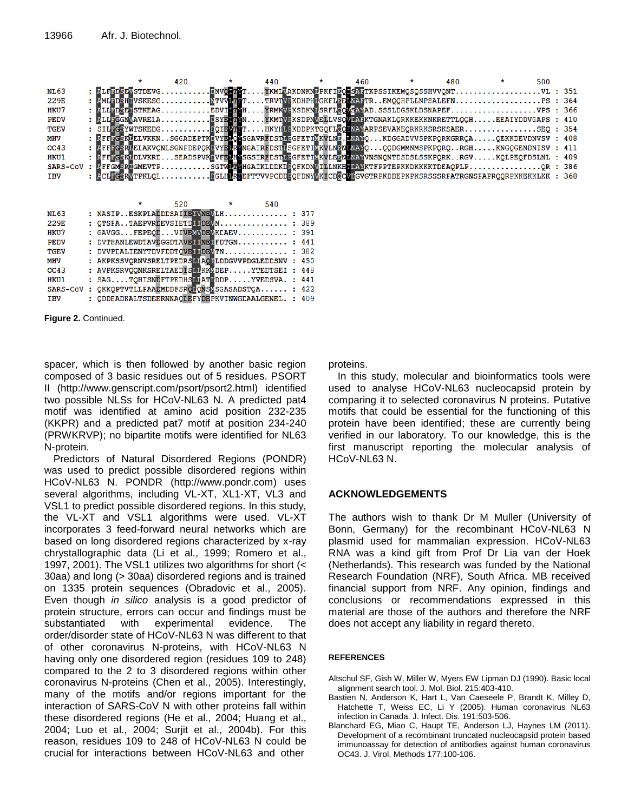|                                                                                          |  | $\star$ | 420                                                                                                | $\star$ $\star$ | 440 | $\star$ |  | $\star$ | 480 |  | 500 |  |
|------------------------------------------------------------------------------------------|--|---------|----------------------------------------------------------------------------------------------------|-----------------|-----|---------|--|---------|-----|--|-----|--|
| <b>NL63</b>                                                                              |  |         | : ELFEDERKSTDEVGENVOHTYTYKMIKAKDNKNEPKFIEQESATTKPSSIKEMOSQSSHVVQNTVL : 351                         |                 |     |         |  |         |     |  |     |  |
| 229E                                                                                     |  |         | : PMLEDSHIVSKESGTTVVPTETTRVTVEKDHPHUGKFILPENAFTREMOOHPLLNPSALEFNPS : 364                           |                 |     |         |  |         |     |  |     |  |
| HKU7                                                                                     |  |         | : PLIEDSE ISTKEAGEDVINTH YRMKVEKSDKNISRFICOWSAVAD.SSSLDGSKLDSNAPEF 9PS : 366                       |                 |     |         |  |         |     |  |     |  |
| <b>PEDV</b>                                                                              |  |         | : PLITGGNVAVREIA ESYETTYN YKMTVFKSDPNVELLVSOVLAFKTGNAKLORKKEKKNKRETTLOOHEEAIYDDVGAPS : 410         |                 |     |         |  |         |     |  |     |  |
| <b>TGEV</b>                                                                              |  |         | : SILFGSYWTSKEDGDOIEWTHTHKYHLFKDDPKTGOFICONAMARPSEVAKEORKRKSRSKSAERSEO : 354                       |                 |     |         |  |         |     |  |     |  |
| MHV                                                                                      |  |         | : EFFEGSKEELVKKNSGGADEPTKEVYEECKSGAVRFDSTLEGFETIKKVLNE.LNAYOKDGGADVVSPKPQRKGRRCAQEKKDEVDNVSV : 408 |                 |     |         |  |         |     |  |     |  |
| OC43                                                                                     |  |         | : PFFFGSRUEIAKVONLSGNPDEPOKUVYEURENGAIRFDSTUSGFETIVKVLNENLNAVOOODGMMNMSPKPORORGHKNGOGENDNISV : 411 |                 |     |         |  |         |     |  |     |  |
| HKU1                                                                                     |  |         | : PFFFGSKUDLVKRDSEADSPVKUVFEUHKSGSIRFDSTULGFETIVKVLEENUNAYVNSNQNTDSDSLSSKPQRKRGVKQLPEQFDSLNL : 409 |                 |     |         |  |         |     |  |     |  |
| SARS-COV: PFFGMSRIGMEVTPSGTMUTMHGAIKLDDKDEOFKDNMILLNKHILAYKTFPPTEPKKDKKKKTDEAOPLPOR: 386 |  |         |                                                                                                    |                 |     |         |  |         |     |  |     |  |
| <b>IBV</b>                                                                               |  |         | : LCLEGSRTTPKLQLEGLHLREEFTTVVPCDDEQFDNYTKICDCOVEGVTERKDDEPKPKSRSSSRFATRGNSFAPRQQRPKKEKKLKK : 368   |                 |     |         |  |         |     |  |     |  |
|                                                                                          |  |         |                                                                                                    |                 |     |         |  |         |     |  |     |  |
|                                                                                          |  | $\star$ | $520 \times 540$                                                                                   |                 |     |         |  |         |     |  |     |  |
|                                                                                          |  |         | : NASIP. ESKPLADDDSAILE WNEVLH : 377                                                               |                 |     |         |  |         |     |  |     |  |
| <b>NL63</b>                                                                              |  |         |                                                                                                    |                 |     |         |  |         |     |  |     |  |
| 229E                                                                                     |  |         | $:$ OTSFATAEPVRDEVSIETDILIDEVN $:$ 389                                                             |                 |     |         |  |         |     |  |     |  |
| HKU7                                                                                     |  |         | : $CAVGG FEPEOD VIVENWDFWKDAEV$ : 391                                                              |                 |     |         |  |         |     |  |     |  |
| <b>PEDV</b>                                                                              |  |         | : DVTHANLEWDTAVDGGDTAVE TIME TFDTGN : 441                                                          |                 |     |         |  |         |     |  |     |  |
| <b>TGEV</b>                                                                              |  |         | : DVVPCALIENYTDVFDDTOVETTDEVTN : 382                                                               |                 |     |         |  |         |     |  |     |  |

| MHV        | : AKPKSSVORNVSRELTPEDRSLIAOLLDDGVVPDGLEDDSNV : 450              |  |
|------------|-----------------------------------------------------------------|--|
| OC43       | : AVPKSRVQQNKSRELTAEDIS <b>MI</b> KK <b>L</b> DEPYTEDTSEI : 448 |  |
| HKU1       | $: SASTOHISND$ $FTPEDHS$ $MTPDDPYVEDSVA$ . $: 441$              |  |
|            | SARS-COV : QKKQPTVTLLFAADMDDFSRQLQNSVSGASADSTCA : 422           |  |
| <b>TBV</b> | : QDDEADKALTSDEERNNAQLEFYDEPKVINWGLAALGENEL. : 409              |  |

**Figure 2.** Continued.

spacer, which is then followed by another basic region composed of 3 basic residues out of 5 residues. PSORT II (http://www.genscript.com/psort/psort2.html) identified two possible NLSs for HCoV-NL63 N. A predicted pat4 motif was identified at amino acid position 232-235 (KKPR) and a predicted pat7 motif at position 234-240 (PRWKRVP); no bipartite motifs were identified for NL63 N-protein.

Predictors of Natural Disordered Regions (PONDR) was used to predict possible disordered regions within HCoV-NL63 N. PONDR (http://www.pondr.com) uses several algorithms, including VL-XT, XL1-XT, VL3 and VSL1 to predict possible disordered regions. In this study, the VL-XT and VSL1 algorithms were used. VL-XT incorporates 3 feed-forward neural networks which are based on long disordered regions characterized by x-ray chrystallographic data (Li et al., 1999; Romero et al., 1997, 2001). The VSL1 utilizes two algorithms for short (< 30aa) and long (> 30aa) disordered regions and is trained on 1335 protein sequences (Obradovic et al., 2005). Even though *in silico* analysis is a good predictor of protein structure, errors can occur and findings must be substantiated with experimental evidence. The order/disorder state of HCoV-NL63 N was different to that of other coronavirus N-proteins, with HCoV-NL63 N having only one disordered region (residues 109 to 248) compared to the 2 to 3 disordered regions within other coronavirus N-proteins (Chen et al., 2005). Interestingly, many of the motifs and/or regions important for the interaction of SARS-CoV N with other proteins fall within these disordered regions (He et al., 2004; Huang et al., 2004; Luo et al., 2004; Surjit et al., 2004b). For this reason, residues 109 to 248 of HCoV-NL63 N could be crucial for interactions between HCoV-NL63 and other

proteins.

In this study, molecular and bioinformatics tools were used to analyse HCoV-NL63 nucleocapsid protein by comparing it to selected coronavirus N proteins. Putative motifs that could be essential for the functioning of this protein have been identified; these are currently being verified in our laboratory. To our knowledge, this is the first manuscript reporting the molecular analysis of HCoV-NL63 N.

### **ACKNOWLEDGEMENTS**

The authors wish to thank Dr M Muller (University of Bonn, Germany) for the recombinant HCoV-NL63 N plasmid used for mammalian expression. HCoV-NL63 RNA was a kind gift from Prof Dr Lia van der Hoek (Netherlands). This research was funded by the National Research Foundation (NRF), South Africa. MB received financial support from NRF. Any opinion, findings and conclusions or recommendations expressed in this material are those of the authors and therefore the NRF does not accept any liability in regard thereto.

### **REFERENCES**

- Altschul SF, Gish W, Miller W, Myers EW Lipman DJ (1990). Basic local alignment search tool. J. Mol. Biol. 215:403-410.
- Bastien N, Anderson K, Hart L, Van Caeseele P, Brandt K, Milley D, Hatchette T, Weiss EC, Li Y (2005). Human coronavirus NL63 infection in Canada. J. Infect. Dis. 191:503-506.
- Blanchard EG, Miao C, Haupt TE, Anderson LJ, Haynes LM (2011). Development of a recombinant truncated nucleocapsid protein based immunoassay for detection of antibodies against human coronavirus OC43. J. Virol. Methods 177:100-106.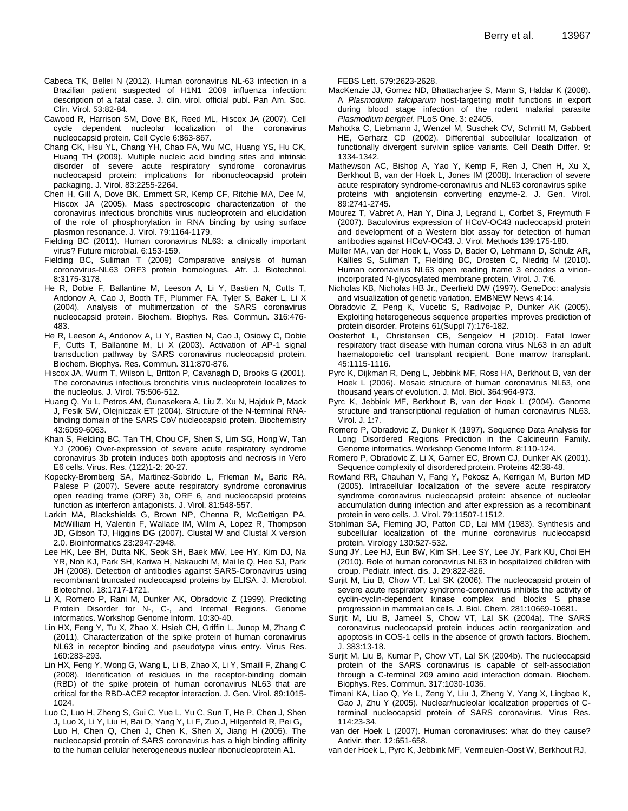- Cabeca TK, Bellei N (2012). Human coronavirus NL-63 infection in a Brazilian patient suspected of H1N1 2009 influenza infection: description of a fatal case. J. clin. virol. official publ. Pan Am. Soc. Clin. Virol. 53:82-84.
- Cawood R, Harrison SM, Dove BK, Reed ML, Hiscox JA (2007). Cell cycle dependent nucleolar localization of the coronavirus nucleocapsid protein. Cell Cycle 6:863-867.
- Chang CK, Hsu YL, Chang YH, Chao FA, Wu MC, Huang YS, Hu CK, Huang TH (2009). Multiple nucleic acid binding sites and intrinsic disorder of severe acute respiratory syndrome coronavirus nucleocapsid protein: implications for ribonucleocapsid protein packaging. J. Virol. 83:2255-2264.
- Chen H, Gill A, Dove BK, Emmett SR, Kemp CF, Ritchie MA, Dee M, Hiscox JA (2005). Mass spectroscopic characterization of the coronavirus infectious bronchitis virus nucleoprotein and elucidation of the role of phosphorylation in RNA binding by using surface plasmon resonance. J. Virol. 79:1164-1179.
- Fielding BC (2011). Human coronavirus NL63: a clinically important virus? Future microbial. 6:153-159.
- Fielding BC, Suliman T (2009) Comparative analysis of human coronavirus-NL63 ORF3 protein homologues. Afr. J. Biotechnol. 8:3175-3178.
- He R, Dobie F, Ballantine M, Leeson A, Li Y, Bastien N, Cutts T, Andonov A, Cao J, Booth TF, Plummer FA, Tyler S, Baker L, Li X (2004). Analysis of multimerization of the SARS coronavirus nucleocapsid protein. Biochem. Biophys. Res. Commun. 316:476- 483.
- He R, Leeson A, Andonov A, Li Y, Bastien N, Cao J, Osiowy C, Dobie F, Cutts T, Ballantine M, Li X (2003). Activation of AP-1 signal transduction pathway by SARS coronavirus nucleocapsid protein. Biochem. Biophys. Res. Commun. 311:870-876.
- Hiscox JA, Wurm T, Wilson L, Britton P, Cavanagh D, Brooks G (2001). The coronavirus infectious bronchitis virus nucleoprotein localizes to the nucleolus. J. Virol. 75:506-512.
- Huang Q, Yu L, Petros AM, Gunasekera A, Liu Z, Xu N, Hajduk P, Mack J, Fesik SW, Olejniczak ET (2004). Structure of the N-terminal RNAbinding domain of the SARS CoV nucleocapsid protein. Biochemistry 43:6059-6063.
- Khan S, Fielding BC, Tan TH, Chou CF, Shen S, Lim SG, Hong W, Tan YJ (2006) Over-expression of severe acute respiratory syndrome coronavirus 3b protein induces both apoptosis and necrosis in Vero E6 cells. Virus. Res. (122)1-2: 20-27.
- Kopecky-Bromberg SA, Martinez-Sobrido L, Frieman M, Baric RA, Palese P (2007). Severe acute respiratory syndrome coronavirus open reading frame (ORF) 3b, ORF 6, and nucleocapsid proteins function as interferon antagonists. J. Virol. 81:548-557.
- Larkin MA, Blackshields G, Brown NP, Chenna R, McGettigan PA, McWilliam H, Valentin F, Wallace IM, Wilm A, Lopez R, Thompson JD, Gibson TJ, Higgins DG (2007). Clustal W and Clustal X version 2.0. Bioinformatics 23:2947-2948.
- Lee HK, Lee BH, Dutta NK, Seok SH, Baek MW, Lee HY, Kim DJ, Na YR, Noh KJ, Park SH, Kariwa H, Nakauchi M, Mai le Q, Heo SJ, Park JH (2008). Detection of antibodies against SARS-Coronavirus using recombinant truncated nucleocapsid proteins by ELISA. J. Microbiol. Biotechnol. 18:1717-1721.
- Li X, Romero P, Rani M, Dunker AK, Obradovic Z (1999). Predicting Protein Disorder for N-, C-, and Internal Regions. Genome informatics. Workshop Genome Inform. 10:30-40.
- Lin HX, Feng Y, Tu X, Zhao X, Hsieh CH, Griffin L, Junop M, Zhang C (2011). Characterization of the spike protein of human coronavirus NL63 in receptor binding and pseudotype virus entry. Virus Res. 160:283-293.
- Lin HX, Feng Y, Wong G, Wang L, Li B, Zhao X, Li Y, Smaill F, Zhang C (2008). Identification of residues in the receptor-binding domain (RBD) of the spike protein of human coronavirus NL63 that are critical for the RBD-ACE2 receptor interaction. J. Gen. Virol. 89:1015- 1024.
- Luo C, Luo H, Zheng S, Gui C, Yue L, Yu C, Sun T, He P, Chen J, Shen J, Luo X, Li Y, Liu H, Bai D, Yang Y, Li F, Zuo J, Hilgenfeld R, Pei G, Luo H, Chen Q, Chen J, Chen K, Shen X, Jiang H (2005). The nucleocapsid protein of SARS coronavirus has a high binding affinity to the human cellular heterogeneous nuclear ribonucleoprotein A1.

FEBS Lett. 579:2623-2628.

- MacKenzie JJ, Gomez ND, Bhattacharjee S, Mann S, Haldar K (2008). A *Plasmodium falciparum* host-targeting motif functions in export during blood stage infection of the rodent malarial parasite *Plasmodium berghei*. PLoS One. 3: e2405.
- Mahotka C, Liebmann J, Wenzel M, Suschek CV, Schmitt M, Gabbert HE, Gerharz CD (2002). Differential subcellular localization of functionally divergent survivin splice variants. Cell Death Differ. 9: 1334-1342.
- Mathewson AC, Bishop A, Yao Y, Kemp F, Ren J, Chen H, Xu X, Berkhout B, van der Hoek L, Jones IM (2008). Interaction of severe acute respiratory syndrome-coronavirus and NL63 coronavirus spike proteins with angiotensin converting enzyme-2. J. Gen. Virol. 89:2741-2745.
- Mourez T, Vabret A, Han Y, Dina J, Legrand L, Corbet S, Freymuth F (2007). Baculovirus expression of HCoV-OC43 nucleocapsid protein and development of a Western blot assay for detection of human antibodies against HCoV-OC43. J. Virol. Methods 139:175-180.
- Muller MA, van der Hoek L, Voss D, Bader O, Lehmann D, Schulz AR, Kallies S, Suliman T, Fielding BC, Drosten C, Niedrig M (2010). Human coronavirus NL63 open reading frame 3 encodes a virionincorporated N-glycosylated membrane protein. Virol. J. 7:6.
- Nicholas KB, Nicholas HB Jr., Deerfield DW (1997). GeneDoc: analysis and visualization of genetic variation. EMBNEW News 4:14.
- Obradovic Z, Peng K, Vucetic S, Radivojac P, Dunker AK (2005). Exploiting heterogeneous sequence properties improves prediction of protein disorder. Proteins 61(Suppl 7):176-182.
- Oosterhof L, Christensen CB, Sengelov H (2010). Fatal lower respiratory tract disease with human corona virus NL63 in an adult haematopoietic cell transplant recipient. Bone marrow transplant. 45:1115-1116.
- Pyrc K, Dijkman R, Deng L, Jebbink MF, Ross HA, Berkhout B, van der Hoek L (2006). Mosaic structure of human coronavirus NL63, one thousand years of evolution. J. Mol. Biol. 364:964-973.
- Pyrc K, Jebbink MF, Berkhout B, van der Hoek L (2004). Genome structure and transcriptional regulation of human coronavirus NL63. Virol. J. 1:7.
- Romero P, Obradovic Z, Dunker K (1997). Sequence Data Analysis for Long Disordered Regions Prediction in the Calcineurin Family. Genome informatics. Workshop Genome Inform. 8:110-124.
- Romero P, Obradovic Z, Li X, Garner EC, Brown CJ, Dunker AK (2001). Sequence complexity of disordered protein. Proteins 42:38-48.
- Rowland RR, Chauhan V, Fang Y, Pekosz A, Kerrigan M, Burton MD (2005). Intracellular localization of the severe acute respiratory syndrome coronavirus nucleocapsid protein: absence of nucleolar accumulation during infection and after expression as a recombinant protein in vero cells. J. Virol. 79:11507-11512.
- Stohlman SA, Fleming JO, Patton CD, Lai MM (1983). Synthesis and subcellular localization of the murine coronavirus nucleocapsid protein. Virology 130:527-532.
- Sung JY, Lee HJ, Eun BW, Kim SH, Lee SY, Lee JY, Park KU, Choi EH (2010). Role of human coronavirus NL63 in hospitalized children with croup. Pediatr. infect. dis. J. 29:822-826.
- Surjit M, Liu B, Chow VT, Lal SK (2006). The nucleocapsid protein of severe acute respiratory syndrome-coronavirus inhibits the activity of cyclin-cyclin-dependent kinase complex and blocks S phase progression in mammalian cells. J. Biol. Chem. 281:10669-10681.
- Surjit M, Liu B, Jameel S, Chow VT, Lal SK (2004a). The SARS coronavirus nucleocapsid protein induces actin reorganization and apoptosis in COS-1 cells in the absence of growth factors. Biochem. J. 383:13-18.
- Surjit M, Liu B, Kumar P, Chow VT, Lal SK (2004b). The nucleocapsid protein of the SARS coronavirus is capable of self-association through a C-terminal 209 amino acid interaction domain. Biochem. Biophys. Res. Commun. 317:1030-1036.
- Timani KA, Liao Q, Ye L, Zeng Y, Liu J, Zheng Y, Yang X, Lingbao K, Gao J, Zhu Y (2005). Nuclear/nucleolar localization properties of Cterminal nucleocapsid protein of SARS coronavirus. Virus Res. 114:23-34.
- van der Hoek L (2007). Human coronaviruses: what do they cause? Antivir. ther. 12:651-658.
- van der Hoek L, Pyrc K, Jebbink MF, Vermeulen-Oost W, Berkhout RJ,